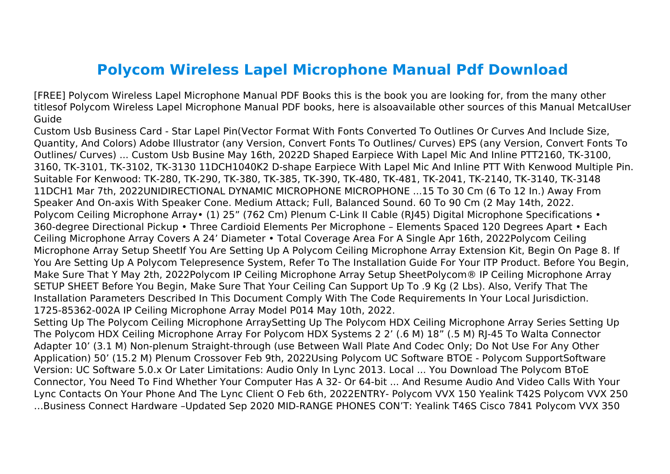## **Polycom Wireless Lapel Microphone Manual Pdf Download**

[FREE] Polycom Wireless Lapel Microphone Manual PDF Books this is the book you are looking for, from the many other titlesof Polycom Wireless Lapel Microphone Manual PDF books, here is alsoavailable other sources of this Manual MetcalUser Guide

Custom Usb Business Card - Star Lapel Pin(Vector Format With Fonts Converted To Outlines Or Curves And Include Size, Quantity, And Colors) Adobe Illustrator (any Version, Convert Fonts To Outlines/ Curves) EPS (any Version, Convert Fonts To Outlines/ Curves) ... Custom Usb Busine May 16th, 2022D Shaped Earpiece With Lapel Mic And Inline PTT2160, TK-3100, 3160, TK-3101, TK-3102, TK-3130 11DCH1040K2 D-shape Earpiece With Lapel Mic And Inline PTT With Kenwood Multiple Pin. Suitable For Kenwood: TK-280, TK-290, TK-380, TK-385, TK-390, TK-480, TK-481, TK-2041, TK-2140, TK-3140, TK-3148 11DCH1 Mar 7th, 2022UNIDIRECTIONAL DYNAMIC MICROPHONE MICROPHONE ...15 To 30 Cm (6 To 12 In.) Away From Speaker And On-axis With Speaker Cone. Medium Attack; Full, Balanced Sound. 60 To 90 Cm (2 May 14th, 2022. Polycom Ceiling Microphone Array• (1) 25" (762 Cm) Plenum C-Link II Cable (RJ45) Digital Microphone Specifications • 360-degree Directional Pickup • Three Cardioid Elements Per Microphone – Elements Spaced 120 Degrees Apart • Each Ceiling Microphone Array Covers A 24' Diameter • Total Coverage Area For A Single Apr 16th, 2022Polycom Ceiling Microphone Array Setup SheetIf You Are Setting Up A Polycom Ceiling Microphone Array Extension Kit, Begin On Page 8. If You Are Setting Up A Polycom Telepresence System, Refer To The Installation Guide For Your ITP Product. Before You Begin, Make Sure That Y May 2th, 2022Polycom IP Ceiling Microphone Array Setup SheetPolycom® IP Ceiling Microphone Array SETUP SHEET Before You Begin, Make Sure That Your Ceiling Can Support Up To .9 Kg (2 Lbs). Also, Verify That The Installation Parameters Described In This Document Comply With The Code Requirements In Your Local Jurisdiction. 1725-85362-002A IP Ceiling Microphone Array Model P014 May 10th, 2022.

Setting Up The Polycom Ceiling Microphone ArraySetting Up The Polycom HDX Ceiling Microphone Array Series Setting Up The Polycom HDX Ceiling Microphone Array For Polycom HDX Systems 2 2' (.6 M) 18" (.5 M) RJ-45 To Walta Connector Adapter 10' (3.1 M) Non-plenum Straight-through (use Between Wall Plate And Codec Only; Do Not Use For Any Other Application) 50' (15.2 M) Plenum Crossover Feb 9th, 2022Using Polycom UC Software BTOE - Polycom SupportSoftware Version: UC Software 5.0.x Or Later Limitations: Audio Only In Lync 2013. Local ... You Download The Polycom BToE Connector, You Need To Find Whether Your Computer Has A 32- Or 64-bit ... And Resume Audio And Video Calls With Your Lync Contacts On Your Phone And The Lync Client O Feb 6th, 2022ENTRY- Polycom VVX 150 Yealink T42S Polycom VVX 250 …Business Connect Hardware –Updated Sep 2020 MID-RANGE PHONES CON'T: Yealink T46S Cisco 7841 Polycom VVX 350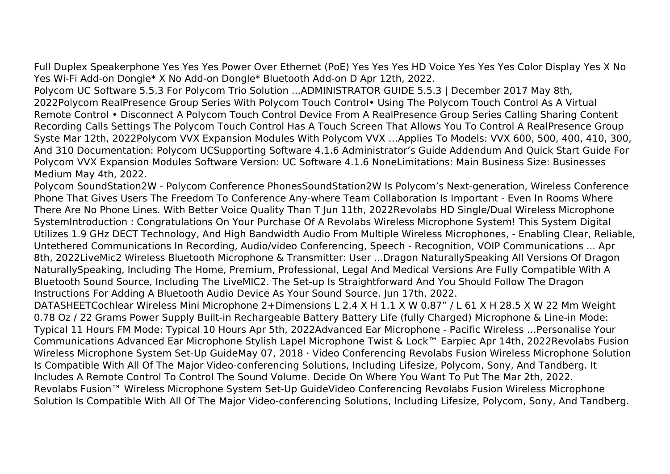Full Duplex Speakerphone Yes Yes Yes Power Over Ethernet (PoE) Yes Yes Yes HD Voice Yes Yes Yes Color Display Yes X No Yes Wi-Fi Add-on Dongle\* X No Add-on Dongle\* Bluetooth Add-on D Apr 12th, 2022.

Polycom UC Software 5.5.3 For Polycom Trio Solution ...ADMINISTRATOR GUIDE 5.5.3 | December 2017 May 8th, 2022Polycom RealPresence Group Series With Polycom Touch Control• Using The Polycom Touch Control As A Virtual Remote Control • Disconnect A Polycom Touch Control Device From A RealPresence Group Series Calling Sharing Content Recording Calls Settings The Polycom Touch Control Has A Touch Screen That Allows You To Control A RealPresence Group Syste Mar 12th, 2022Polycom VVX Expansion Modules With Polycom VVX …Applies To Models: VVX 600, 500, 400, 410, 300, And 310 Documentation: Polycom UCSupporting Software 4.1.6 Administrator's Guide Addendum And Quick Start Guide For Polycom VVX Expansion Modules Software Version: UC Software 4.1.6 NoneLimitations: Main Business Size: Businesses Medium May 4th, 2022.

Polycom SoundStation2W - Polycom Conference PhonesSoundStation2W Is Polycom's Next-generation, Wireless Conference Phone That Gives Users The Freedom To Conference Any-where Team Collaboration Is Important - Even In Rooms Where There Are No Phone Lines. With Better Voice Quality Than T Jun 11th, 2022Revolabs HD Single/Dual Wireless Microphone SystemIntroduction : Congratulations On Your Purchase Of A Revolabs Wireless Microphone System! This System Digital Utilizes 1.9 GHz DECT Technology, And High Bandwidth Audio From Multiple Wireless Microphones, - Enabling Clear, Reliable, Untethered Communications In Recording, Audio/video Conferencing, Speech - Recognition, VOIP Communications ... Apr 8th, 2022LiveMic2 Wireless Bluetooth Microphone & Transmitter: User ...Dragon NaturallySpeaking All Versions Of Dragon NaturallySpeaking, Including The Home, Premium, Professional, Legal And Medical Versions Are Fully Compatible With A Bluetooth Sound Source, Including The LiveMIC2. The Set-up Is Straightforward And You Should Follow The Dragon Instructions For Adding A Bluetooth Audio Device As Your Sound Source. Jun 17th, 2022.

DATASHEETCochlear Wireless Mini Microphone 2+Dimensions L 2.4 X H 1.1 X W 0.87" / L 61 X H 28.5 X W 22 Mm Weight 0.78 Oz / 22 Grams Power Supply Built-in Rechargeable Battery Battery Life (fully Charged) Microphone & Line-in Mode: Typical 11 Hours FM Mode: Typical 10 Hours Apr 5th, 2022Advanced Ear Microphone - Pacific Wireless …Personalise Your Communications Advanced Ear Microphone Stylish Lapel Microphone Twist & Lock™ Earpiec Apr 14th, 2022Revolabs Fusion Wireless Microphone System Set-Up GuideMay 07, 2018 · Video Conferencing Revolabs Fusion Wireless Microphone Solution Is Compatible With All Of The Major Video-conferencing Solutions, Including Lifesize, Polycom, Sony, And Tandberg. It Includes A Remote Control To Control The Sound Volume. Decide On Where You Want To Put The Mar 2th, 2022. Revolabs Fusion™ Wireless Microphone System Set-Up GuideVideo Conferencing Revolabs Fusion Wireless Microphone Solution Is Compatible With All Of The Major Video-conferencing Solutions, Including Lifesize, Polycom, Sony, And Tandberg.